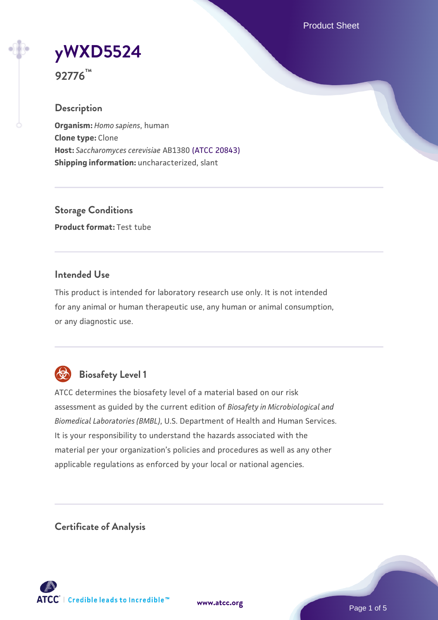Product Sheet

**[yWXD5524](https://www.atcc.org/products/92776)**



### **Description**

**Organism:** *Homo sapiens*, human **Clone type:** Clone **Host:** *Saccharomyces cerevisiae* AB1380 [\(ATCC 20843\)](https://www.atcc.org/products/20843) **Shipping information:** uncharacterized, slant

**Storage Conditions Product format:** Test tube

## **Intended Use**

This product is intended for laboratory research use only. It is not intended for any animal or human therapeutic use, any human or animal consumption, or any diagnostic use.



# **Biosafety Level 1**

ATCC determines the biosafety level of a material based on our risk assessment as guided by the current edition of *Biosafety in Microbiological and Biomedical Laboratories (BMBL)*, U.S. Department of Health and Human Services. It is your responsibility to understand the hazards associated with the material per your organization's policies and procedures as well as any other applicable regulations as enforced by your local or national agencies.

**Certificate of Analysis**

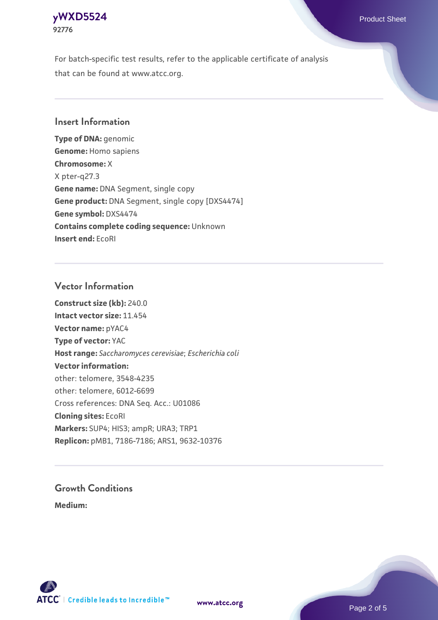## **[yWXD5524](https://www.atcc.org/products/92776)** Product Sheet **92776**

For batch-specific test results, refer to the applicable certificate of analysis that can be found at www.atcc.org.

## **Insert Information**

**Type of DNA:** genomic **Genome:** Homo sapiens **Chromosome:** X X pter-q27.3 **Gene name:** DNA Segment, single copy **Gene product:** DNA Segment, single copy [DXS4474] **Gene symbol:** DXS4474 **Contains complete coding sequence:** Unknown **Insert end:** EcoRI

## **Vector Information**

**Construct size (kb):** 240.0 **Intact vector size:** 11.454 **Vector name:** pYAC4 **Type of vector:** YAC **Host range:** *Saccharomyces cerevisiae*; *Escherichia coli* **Vector information:** other: telomere, 3548-4235 other: telomere, 6012-6699 Cross references: DNA Seq. Acc.: U01086 **Cloning sites:** EcoRI **Markers:** SUP4; HIS3; ampR; URA3; TRP1 **Replicon:** pMB1, 7186-7186; ARS1, 9632-10376

# **Growth Conditions**

**Medium:** 



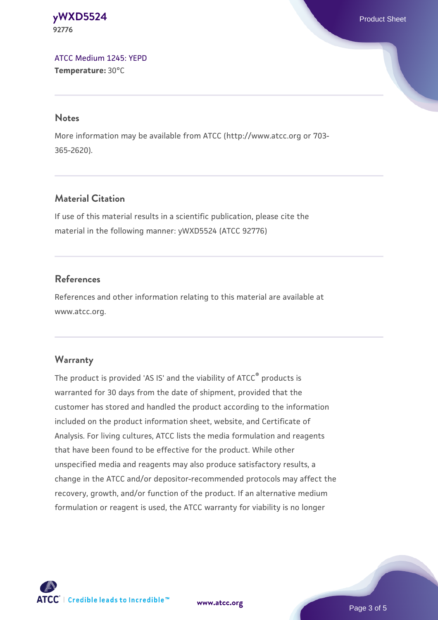#### **[yWXD5524](https://www.atcc.org/products/92776)** Product Sheet **92776**

[ATCC Medium 1245: YEPD](https://www.atcc.org/-/media/product-assets/documents/microbial-media-formulations/1/2/4/5/atcc-medium-1245.pdf?rev=705ca55d1b6f490a808a965d5c072196) **Temperature:** 30°C

#### **Notes**

More information may be available from ATCC (http://www.atcc.org or 703- 365-2620).

# **Material Citation**

If use of this material results in a scientific publication, please cite the material in the following manner: yWXD5524 (ATCC 92776)

# **References**

References and other information relating to this material are available at www.atcc.org.

# **Warranty**

The product is provided 'AS IS' and the viability of ATCC® products is warranted for 30 days from the date of shipment, provided that the customer has stored and handled the product according to the information included on the product information sheet, website, and Certificate of Analysis. For living cultures, ATCC lists the media formulation and reagents that have been found to be effective for the product. While other unspecified media and reagents may also produce satisfactory results, a change in the ATCC and/or depositor-recommended protocols may affect the recovery, growth, and/or function of the product. If an alternative medium formulation or reagent is used, the ATCC warranty for viability is no longer



**[www.atcc.org](http://www.atcc.org)**

Page 3 of 5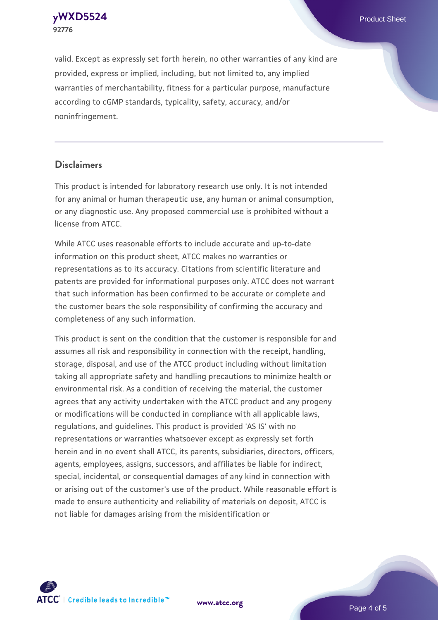**[yWXD5524](https://www.atcc.org/products/92776)** Product Sheet **92776**

valid. Except as expressly set forth herein, no other warranties of any kind are provided, express or implied, including, but not limited to, any implied warranties of merchantability, fitness for a particular purpose, manufacture according to cGMP standards, typicality, safety, accuracy, and/or noninfringement.

#### **Disclaimers**

This product is intended for laboratory research use only. It is not intended for any animal or human therapeutic use, any human or animal consumption, or any diagnostic use. Any proposed commercial use is prohibited without a license from ATCC.

While ATCC uses reasonable efforts to include accurate and up-to-date information on this product sheet, ATCC makes no warranties or representations as to its accuracy. Citations from scientific literature and patents are provided for informational purposes only. ATCC does not warrant that such information has been confirmed to be accurate or complete and the customer bears the sole responsibility of confirming the accuracy and completeness of any such information.

This product is sent on the condition that the customer is responsible for and assumes all risk and responsibility in connection with the receipt, handling, storage, disposal, and use of the ATCC product including without limitation taking all appropriate safety and handling precautions to minimize health or environmental risk. As a condition of receiving the material, the customer agrees that any activity undertaken with the ATCC product and any progeny or modifications will be conducted in compliance with all applicable laws, regulations, and guidelines. This product is provided 'AS IS' with no representations or warranties whatsoever except as expressly set forth herein and in no event shall ATCC, its parents, subsidiaries, directors, officers, agents, employees, assigns, successors, and affiliates be liable for indirect, special, incidental, or consequential damages of any kind in connection with or arising out of the customer's use of the product. While reasonable effort is made to ensure authenticity and reliability of materials on deposit, ATCC is not liable for damages arising from the misidentification or



**[www.atcc.org](http://www.atcc.org)**

Page 4 of 5